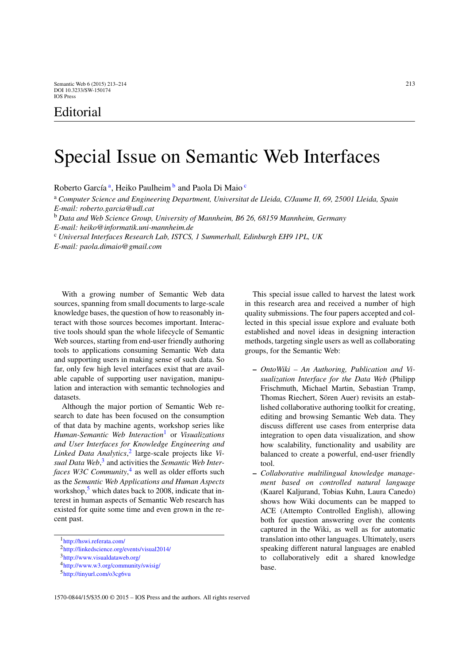## Editorial

## Special Issue on Semantic Web Interfaces

Roberto G[a](#page-0-0)rcía<sup>a</sup>, Heiko Paulheim<sup>[b](#page-0-1)</sup> and Paola Di Maio<sup>[c](#page-0-2)</sup>

<sup>a</sup> *Computer Science and Engineering Department, Universitat de Lleida, C/Jaume II, 69, 25001 Lleida, Spain E-mail: roberto.garcia@udl.cat*

<span id="page-0-1"></span><sup>b</sup> *Data and Web Science Group, University of Mannheim, B6 26, 68159 Mannheim, Germany E-mail: heiko@informatik.uni-mannheim.de*

<span id="page-0-2"></span><sup>c</sup> *Universal Interfaces Research Lab, ISTCS, 1 Summerhall, Edinburgh EH9 1PL, UK E-mail: paola.dimaio@gmail.com*

With a growing number of Semantic Web data sources, spanning from small documents to large-scale knowledge bases, the question of how to reasonably interact with those sources becomes important. Interactive tools should span the whole lifecycle of Semantic Web sources, starting from end-user friendly authoring tools to applications consuming Semantic Web data and supporting users in making sense of such data. So far, only few high level interfaces exist that are available capable of supporting user navigation, manipulation and interaction with semantic technologies and datasets.

Although the major portion of Semantic Web research to date has been focused on the consumption of that data by machine agents, workshop series like *Human-Semantic Web Interaction*[1](#page-0-3) or *Visualizations and User Interfaces for Knowledge Engineering and Linked Data Analytics*, [2](#page-0-4) large-scale projects like *Visual Data Web*, [3](#page-0-5) and activities the *Semantic Web Interfaces W3C Community*, [4](#page-0-6) as well as older efforts such as the *Semantic Web Applications and Human Aspects* workshop, $5$  which dates back to 2008, indicate that interest in human aspects of Semantic Web research has existed for quite some time and even grown in the recent past.

<span id="page-0-0"></span>This special issue called to harvest the latest work in this research area and received a number of high quality submissions. The four papers accepted and collected in this special issue explore and evaluate both established and novel ideas in designing interaction methods, targeting single users as well as collaborating groups, for the Semantic Web:

- **–** *OntoWiki An Authoring, Publication and Visualization Interface for the Data Web* (Philipp Frischmuth, Michael Martin, Sebastian Tramp, Thomas Riechert, Sören Auer) revisits an established collaborative authoring toolkit for creating, editing and browsing Semantic Web data. They discuss different use cases from enterprise data integration to open data visualization, and show how scalability, functionality and usability are balanced to create a powerful, end-user friendly tool.
- **–** *Collaborative multilingual knowledge management based on controlled natural language* (Kaarel Kaljurand, Tobias Kuhn, Laura Canedo) shows how Wiki documents can be mapped to ACE (Attempto Controlled English), allowing both for question answering over the contents captured in the Wiki, as well as for automatic translation into other languages. Ultimately, users speaking different natural languages are enabled to collaboratively edit a shared knowledge base.

[<sup>1</sup>http://hswi.referata.com/](http://hswi.referata.com/)

<span id="page-0-3"></span>[<sup>2</sup>http://linkedscience.org/events/visual2014/](http://linkedscience.org/events/visual2014/)

<span id="page-0-4"></span>[<sup>3</sup>http://www.visualdataweb.org/](http://www.visualdataweb.org/)

<span id="page-0-5"></span>[<sup>4</sup>http://www.w3.org/community/swisig/](http://www.w3.org/community/swisig/)

<span id="page-0-7"></span><span id="page-0-6"></span>[<sup>5</sup>http://tinyurl.com/o3cg6vu](http://tinyurl.com/o3cg6vu)